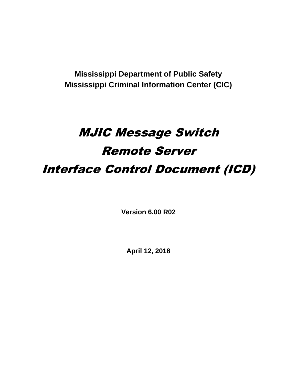**Mississippi Department of Public Safety Mississippi Criminal Information Center (CIC)**

# MJIC Message Switch Remote Server Interface Control Document (ICD)

**Version 6.00 R02**

**April 12, 2018**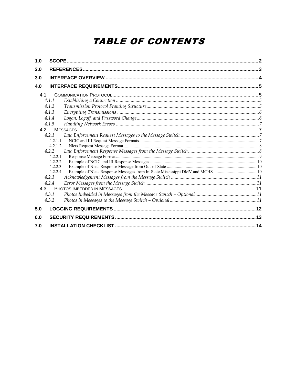# **TABLE OF CONTENTS**

| 1.0 |         |  |
|-----|---------|--|
| 2.0 |         |  |
| 3.0 |         |  |
| 4.0 |         |  |
|     | 4.1     |  |
|     | 4.1.1   |  |
|     | 4.1.2   |  |
|     | 4.1.3   |  |
|     | 4.1.4   |  |
|     | 4.1.5   |  |
|     | 4.2     |  |
|     | 4.2.1   |  |
|     | 4.2.1.1 |  |
|     | 4.2.1.2 |  |
|     | 4.2.2   |  |
|     | 4.2.2.1 |  |
|     | 4.2.2.2 |  |
|     | 4.2.2.3 |  |
|     | 4.2.2.4 |  |
|     | 4.2.3   |  |
|     | 4.2.4   |  |
|     | 4 3     |  |
|     | 4.3.1   |  |
|     | 4.3.2   |  |
| 5.0 |         |  |
| 6.0 |         |  |
| 7.0 |         |  |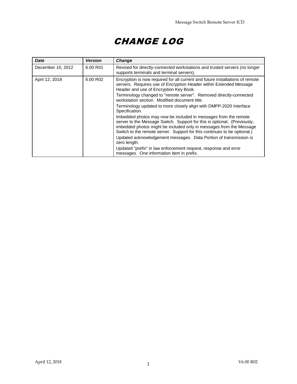# CHANGE LOG

| <b>Date</b>       | Version  | Change                                                                                                                                                                                                                                                                                         |
|-------------------|----------|------------------------------------------------------------------------------------------------------------------------------------------------------------------------------------------------------------------------------------------------------------------------------------------------|
| December 10, 2012 | 6.00 R01 | Revised for directly-connected workstations and trusted servers (no longer<br>supports terminals and terminal servers).                                                                                                                                                                        |
| April 12, 2018    | 6.00 R02 | Encryption is now required for all current and future installations of remote<br>servers. Requires use of Encryption Header within Extended Message<br>Header and use of Encryption Key Book.                                                                                                  |
|                   |          | Terminology changed to "remote server". Removed directly-connected<br>workstation section. Modified document title.                                                                                                                                                                            |
|                   |          | Terminology updated to more closely align with DMPP-2020 Interface<br>Specification.                                                                                                                                                                                                           |
|                   |          | Imbedded photos may now be included in messages from the remote<br>server to the Message Switch. Support for this is optional. (Previously,<br>imbedded photos might be included only in messages from the Message<br>Switch to the remote server. Support for this continues to be optional.) |
|                   |          | Updated acknowledgement messages. Data Portion of transmission is<br>zero length.                                                                                                                                                                                                              |
|                   |          | Updated "prefix" in law enforcement request, response and error<br>messages. One information item in prefix.                                                                                                                                                                                   |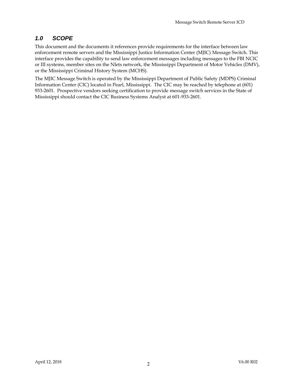### *1.0 SCOPE*

This document and the documents it references provide requirements for the interface between law enforcement remote servers and the Mississippi Justice Information Center (MJIC) Message Switch. This interface provides the capability to send law enforcement messages including messages to the FBI NCIC or III systems, member sites on the Nlets network, the Mississippi Department of Motor Vehicles (DMV), or the Mississippi Criminal History System (MCHS).

The MJIC Message Switch is operated by the Mississippi Department of Public Safety (MDPS) Criminal Information Center (CIC) located in Pearl, Mississippi. The CIC may be reached by telephone at (601) 933-2601. Prospective vendors seeking certification to provide message switch services in the State of Mississippi should contact the CIC Business Systems Analyst at 601-933-2601.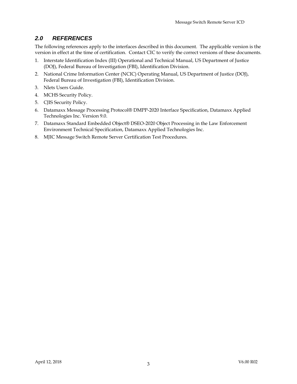## *2.0 REFERENCES*

The following references apply to the interfaces described in this document. The applicable version is the version in effect at the time of certification. Contact CIC to verify the correct versions of these documents.

- 1. Interstate Identification Index (III) Operational and Technical Manual, US Department of Justice (DOJ), Federal Bureau of Investigation (FBI), Identification Division.
- 2. National Crime Information Center (NCIC) Operating Manual, US Department of Justice (DOJ), Federal Bureau of Investigation (FBI), Identification Division.
- 3. Nlets Users Guide.
- 4. MCHS Security Policy.
- 5. CJIS Security Policy.
- 6. Datamaxx Message Processing Protocol® DMPP-2020 Interface Specification, Datamaxx Applied Technologies Inc. Version 9.0.
- 7. Datamaxx Standard Embedded Object® DSEO-2020 Object Processing in the Law Enforcement Environment Technical Specification, Datamaxx Applied Technologies Inc.
- 8. MJIC Message Switch Remote Server Certification Test Procedures.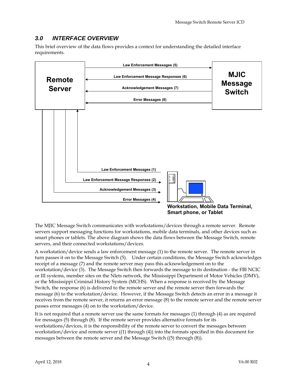# *3.0 INTERFACE OVERVIEW*

This brief overview of the data flows provides a context for understanding the detailed interface requirements.



The MJIC Message Switch communicates with workstations/devices through a remote server. Remote servers support messaging functions for workstations, mobile data terminals, and other devices such as smart phones or tablets. The above diagram shows the data flows between the Message Switch, remote servers, and their connected workstations/devices.

A workstation/device sends a law enforcement message (1) to the remote server. The remote server in turn passes it on to the Message Switch (5). Under certain conditions, the Message Switch acknowledges receipt of a message (7) and the remote server may pass this acknowledgement on to the workstation/device (3). The Message Switch then forwards the message to its destination - the FBI NCIC or III systems, member sites on the Nlets network, the Mississippi Department of Motor Vehicles (DMV), or the Mississippi Criminal History System (MCHS). When a response is received by the Message Switch, the response (6) is delivered to the remote server and the remote server then forwards the message (6) to the workstation/device. However, if the Message Switch detects an error in a message it receives from the remote server, it returns an error message (8) to the remote server and the remote server passes error messages (4) on to the workstation/device.

It is not required that a remote server use the same formats for messages (1) through (4) as are required for messages (5) through (8). If the remote server provides alternative formats for its workstations/devices, it is the responsibility of the remote server to convert the messages between workstation/device and remote server ((1) through (4)) into the formats specified in this document for messages between the remote server and the Message Switch ((5) through (8)).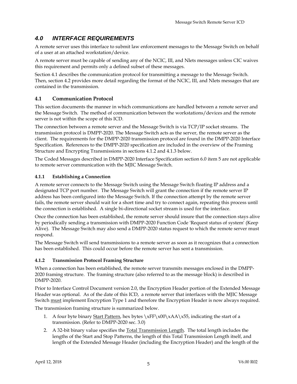# *4.0 INTERFACE REQUIREMENTS*

A remote server uses this interface to submit law enforcement messages to the Message Switch on behalf of a user at an attached workstation/device.

A remote server must be capable of sending any of the NCIC, III, and Nlets messages unless CIC waives this requirement and permits only a defined subset of these messages.

Section 4.1 describes the communication protocol for transmitting a message to the Message Switch. Then, section 4.2 provides more detail regarding the format of the NCIC, III, and Nlets messages that are contained in the transmission.

### **4.1 Communication Protocol**

This section documents the manner in which communications are handled between a remote server and the Message Switch. The method of communication between the workstations/devices and the remote server is not within the scope of this ICD.

The connection between a remote server and the Message Switch is via TCP/IP socket streams. The transmission protocol is DMPP-2020. The Message Switch acts as the server, the remote server as the client. The requirements for the DMPP-2020 transmission protocol are found in the DMPP-2020 Interface Specification. References to the DMPP-2020 specification are included in the overview of the Framing Structure and Encrypting Transmissions in sections 4.1.2 and 4.1.3 below.

The Coded Messages described in DMPP-2020 Interface Specification section 6.0 item 5 are not applicable to remote server communication with the MJIC Message Switch.

#### **4.1.1 Establishing a Connection**

A remote server connects to the Message Switch using the Message Switch floating IP address and a designated TCP port number. The Message Switch will grant the connection if the remote server IP address has been configured into the Message Switch. If the connection attempt by the remote server fails, the remote server should wait for a short time and try to connect again, repeating this process until the connection is established. A single bi-directional socket stream is used for the interface.

Once the connection has been established, the remote server should insure that the connection stays alive by periodically sending a transmission with DMPP-2020 Function Code 'Request status of system' (Keep Alive). The Message Switch may also send a DMPP-2020 status request to which the remote server must respond.

The Message Switch will send transmissions to a remote server as soon as it recognizes that a connection has been established. This could occur before the remote server has sent a transmission.

#### **4.1.2 Transmission Protocol Framing Structure**

When a connection has been established, the remote server transmits messages enclosed in the DMPP-2020 framing structure. The framing structure (also referred to as the message block) is described in DMPP-2020.

Prior to Interface Control Document version 2.0, the Encryption Header portion of the Extended Message Header was optional. As of the date of this ICD, a remote server that interfaces with the MJIC Message Switch must implement Encryption Type 1 and therefore the Encryption Header is now always required.

The transmission framing structure is summarized below.

- 1. A four byte binary Start Pattern, hex bytes  $\xFF\x00\xAA\x55$ , indicating the start of a transmission. (Refer to DMPP-2020 sec. 3.0)
- 2. A 32-bit binary value specifies the Total Transmission Length. The total length includes the lengths of the Start and Stop Patterns, the length of this Total Transmission Length itself, and length of the Extended Message Header (including the Encryption Header) and the length of the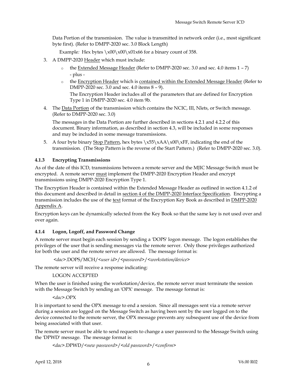Data Portion of the transmission. The value is transmitted in network order (i.e., most significant byte first). (Refer to DMPP-2020 sec. 3.0 Block Length)

Example: Hex bytes \x00\x00\x01x66 for a binary count of 358.

- 3. A DMPP-2020 Header which must include:
	- $\circ$  the Extended Message Header (Refer to DMPP-2020 sec. 3.0 and sec. 4.0 items 1 7) - plus -
	- o the Encryption Header which is contained within the Extended Message Header (Refer to DMPP-2020 sec. 3.0 and sec. 4.0 items 8 – 9). The Encryption Header includes all of the parameters that are defined for Encryption Type 1 in DMPP-2020 sec. 4.0 item 9b.
- 4. The Data Portion of the transmission which contains the NCIC, III, Nlets, or Switch message. (Refer to DMPP-2020 sec. 3.0)

The messages in the Data Portion are further described in sections 4.2.1 and 4.2.2 of this document. Binary information, as described in section 4.3, will be included in some responses and may be included in some message transmissions.

5. A four byte binary Stop Pattern, hex bytes  $x55\xAA\x00\xFF$ , indicating the end of the transmission. (The Stop Pattern is the reverse of the Start Pattern.) (Refer to DMPP-2020 sec. 3.0).

#### **4.1.3 Encrypting Transmissions**

As of the date of this ICD, transmissions between a remote server and the MJIC Message Switch must be encrypted. A remote server must implement the DMPP-2020 Encryption Header and encrypt transmissions using DMPP-2020 Encryption Type 1.

The Encryption Header is contained within the Extended Message Header as outlined in section 4.1.2 of this document and described in detail in section 4 of the DMPP-2020 Interface Specification. Encrypting a transmission includes the use of the text format of the Encryption Key Book as described in **DMPP-2020** Appendix A.

Encryption keys can be dynamically selected from the Key Book so that the same key is not used over and over again.

#### **4.1.4 Logon, Logoff, and Password Change**

A remote server must begin each session by sending a 'DOPS' logon message. The logon establishes the privileges of the user that is sending messages via the remote server. Only those privileges authorized for both the user and the remote server are allowed. The message format is:

```
<dac>.DOPS/MCH/<user id>/<password>/<workstation/device>
```
The remote server will receive a response indicating:

#### LOGON ACCEPTED

When the user is finished using the workstation/device, the remote server must terminate the session with the Message Switch by sending an 'OPX' message. The message format is:

#### *<dac>*.OPX

It is important to send the OPX message to end a session. Since all messages sent via a remote server during a session are logged on the Message Switch as having been sent by the user logged on to the device connected to the remote server, the OPX message prevents any subsequent use of the device from being associated with that user.

The remote server must be able to send requests to change a user password to the Message Switch using the 'DPWD' message. The message format is:

*<dac>*.DPWD/*<new password>*/*<old password>*/*<confirm>*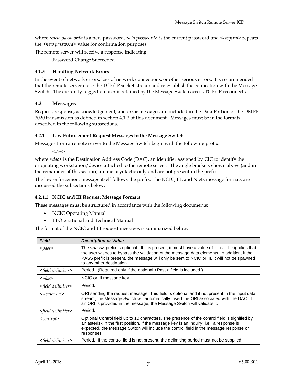where *<new password>* is a new password, *<old password*> is the current password and *<confirm*> repeats the *<new password>* value for confirmation purposes.

The remote server will receive a response indicating:

Password Change Succeeded

#### **4.1.5 Handling Network Errors**

In the event of network errors, loss of network connections, or other serious errors, it is recommended that the remote server close the TCP/IP socket stream and re-establish the connection with the Message Switch. The currently logged-on user is retained by the Message Switch across TCP/IP reconnects.

#### **4.2 Messages**

Request, response, acknowledgement, and error messages are included in the **Data Portion** of the DMPP-2020 transmission as defined in section 4.1.2 of this document. Messages must be in the formats described in the following subsections.

#### **4.2.1 Law Enforcement Request Messages to the Message Switch**

Messages from a remote server to the Message Switch begin with the following prefix:

*<dac>*.

where *<dac>* is the Destination Address Code (DAC), an identifier assigned by CIC to identify the originating workstation/device attached to the remote server. The angle brackets shown above (and in the remainder of this section) are metasyntactic only and are not present in the prefix.

The law enforcement message itself follows the prefix. The NCIC, III, and Nlets message formats are discussed the subsections below.

#### **4.2.1.1 NCIC and III Request Message Formats**

These messages must be structured in accordance with the following documents:

- NCIC Operating Manual
- III Operational and Technical Manual

The format of the NCIC and III request messages is summarized below.

| <b>Field</b>                 | <b>Description or Value</b>                                                                                                                                                                                                                                                                                                           |
|------------------------------|---------------------------------------------------------------------------------------------------------------------------------------------------------------------------------------------------------------------------------------------------------------------------------------------------------------------------------------|
| $<$ pass>                    | The $\epsilon$ pass> prefix is optional. If it is present, it must have a value of NCIC. It signifies that<br>the user wishes to bypass the validation of the message data elements. In addition, if the<br>PASS prefix is present, the message will only be sent to NCIC or III, it will not be spawned<br>to any other destination. |
| <field delimiter=""></field> | Period. (Required only if the optional <pass> field is included.)</pass>                                                                                                                                                                                                                                                              |
| $\leq$ mke $>$               | NCIC or III message key.                                                                                                                                                                                                                                                                                                              |
| $\le$ field delimiter $>$    | Period.                                                                                                                                                                                                                                                                                                                               |
| $\leq$ sender ori $\geq$     | ORI sending the request message. This field is optional and if not present in the input data<br>stream, the Message Switch will automatically insert the ORI associated with the DAC. If<br>an ORI is provided in the message, the Message Switch will validate it.                                                                   |
| <field delimiter=""></field> | Period.                                                                                                                                                                                                                                                                                                                               |
| $<$ control $>$              | Optional Control field up to 10 characters. The presence of the control field is signified by<br>an asterisk in the first position. If the message key is an inquiry, i.e., a response is<br>expected, the Message Switch will include the control field in the message response or<br>responses.                                     |
| <field delimiter=""></field> | Period. If the control field is not present, the delimiting period must not be supplied.                                                                                                                                                                                                                                              |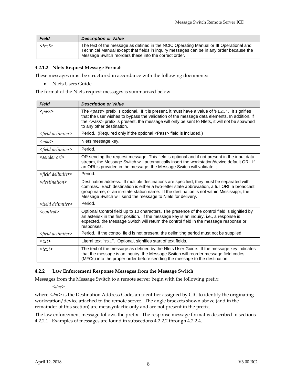| <b>Field</b> | <b>Description or Value</b>                                                                                                                                                                                                                |
|--------------|--------------------------------------------------------------------------------------------------------------------------------------------------------------------------------------------------------------------------------------------|
| $<$ text $>$ | The text of the message as defined in the NCIC Operating Manual or III Operational and<br>Technical Manual except that fields in inguiry messages can be in any order because the<br>Message Switch reorders these into the correct order. |

#### **4.2.1.2 Nlets Request Message Format**

These messages must be structured in accordance with the following documents:

Nlets Users Guide

The format of the Nlets request messages is summarized below.

| <b>Field</b>                                                                              | <b>Description or Value</b>                                                                                                                                                                                                                                                                                                                                |
|-------------------------------------------------------------------------------------------|------------------------------------------------------------------------------------------------------------------------------------------------------------------------------------------------------------------------------------------------------------------------------------------------------------------------------------------------------------|
| $<$ pass>                                                                                 | The $\langle \textit{pass} \rangle$ prefix is optional. If it is present, it must have a value of 'NLET'. It signifies<br>that the user wishes to bypass the validation of the message data elements. In addition, if<br>the <pass> prefix is present, the message will only be sent to Nlets, it will not be spawned<br/>to any other destination.</pass> |
| <field delimiter=""></field>                                                              | Period. (Required only if the optional <pass> field is included.)</pass>                                                                                                                                                                                                                                                                                   |
| $<$ mke $>$                                                                               | Nlets message key.                                                                                                                                                                                                                                                                                                                                         |
| <field delimiter=""></field>                                                              | Period.                                                                                                                                                                                                                                                                                                                                                    |
| $\leq$ sender ori $\geq$                                                                  | OR sending the request message. This field is optional and if not present in the input data<br>stream, the Message Switch will automatically insert the workstation/device default ORI. If<br>an ORI is provided in the message, the Message Switch will validate it.                                                                                      |
| <field delimiter=""></field>                                                              | Period.                                                                                                                                                                                                                                                                                                                                                    |
| $\le$ destination>                                                                        | Destination address. If multiple destinations are specified, they must be separated with<br>commas. Each destination is either a two-letter state abbreviation, a full ORI, a broadcast<br>group name, or an in-state station name. If the destination is not within Mississippi, the<br>Message Switch will send the message to Niets for delivery.       |
| $\le$ field delimiter $>$                                                                 | Period.                                                                                                                                                                                                                                                                                                                                                    |
| $<$ control $>$                                                                           | Optional Control field up to 10 characters. The presence of the control field is signified by<br>an asterisk in the first position. If the message key is an inquiry, i.e., a response is<br>expected, the Message Switch will return the control field in the message response or<br>responses.                                                           |
| <field delimiter=""></field>                                                              | Period. If the control field is not present, the delimiting period must not be supplied.                                                                                                                                                                                                                                                                   |
| <txt< td=""><td>Literal text "TXT". Optional, signifies start of text fields.</td></txt<> | Literal text "TXT". Optional, signifies start of text fields.                                                                                                                                                                                                                                                                                              |
| $<$ text $>$                                                                              | The text of the message as defined by the Niets User Guide. If the message key indicates<br>that the message is an inquiry, the Message Switch will reorder message field codes<br>(MFCs) into the proper order before sending the message to the destination.                                                                                             |

#### **4.2.2 Law Enforcement Response Messages from the Message Switch**

Messages from the Message Switch to a remote server begin with the following prefix:

*<dac>.*

where <*dac*> is the Destination Address Code, an identifier assigned by CIC to identify the originating workstation/device attached to the remote server. The angle brackets shown above (and in the remainder of this section) are metasyntactic only and are not present in the prefix.

The law enforcement message follows the prefix. The response message format is described in sections 4.2.2.1. Examples of messages are found in subsections 4.2.2.2 through 4.2.2.4.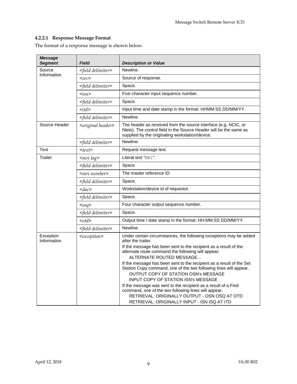#### **4.2.2.1 Response Message Format**

The format of a response message is shown below.

| Message<br><b>Segment</b> | <b>Field</b>                    | <b>Description or Value</b>                                                                                                                                                                                                                                                                                                                                                                                                                                                                                                                                                                                                                                                                                  |
|---------------------------|---------------------------------|--------------------------------------------------------------------------------------------------------------------------------------------------------------------------------------------------------------------------------------------------------------------------------------------------------------------------------------------------------------------------------------------------------------------------------------------------------------------------------------------------------------------------------------------------------------------------------------------------------------------------------------------------------------------------------------------------------------|
| Source                    | <field delimiter=""></field>    | Newline.                                                                                                                                                                                                                                                                                                                                                                                                                                                                                                                                                                                                                                                                                                     |
| Information               | $<$ src>                        | Source of response.                                                                                                                                                                                                                                                                                                                                                                                                                                                                                                                                                                                                                                                                                          |
|                           | <field delimiter=""></field>    | Space.                                                                                                                                                                                                                                                                                                                                                                                                                                                                                                                                                                                                                                                                                                       |
|                           | $\langle isn \rangle$           | Five character input sequence number.                                                                                                                                                                                                                                                                                                                                                                                                                                                                                                                                                                                                                                                                        |
|                           | <field delimiter=""></field>    | Space.                                                                                                                                                                                                                                                                                                                                                                                                                                                                                                                                                                                                                                                                                                       |
|                           | $\langle \text{itd} \rangle$    | Input time and date stamp in the format: HHMM:SS DD/MM/YY.                                                                                                                                                                                                                                                                                                                                                                                                                                                                                                                                                                                                                                                   |
|                           | <field delimiter=""></field>    | Newline.                                                                                                                                                                                                                                                                                                                                                                                                                                                                                                                                                                                                                                                                                                     |
| Source Header             | <original header=""></original> | The header as received from the source interface (e.g. NCIC, or<br>Nlets). The control field in the Source Header will be the same as<br>supplied by the originating workstation/device.                                                                                                                                                                                                                                                                                                                                                                                                                                                                                                                     |
|                           | <field delimiter=""></field>    | Newline.                                                                                                                                                                                                                                                                                                                                                                                                                                                                                                                                                                                                                                                                                                     |
| Text                      | $<$ text $>$                    | Request message text.                                                                                                                                                                                                                                                                                                                                                                                                                                                                                                                                                                                                                                                                                        |
| Trailer                   | $\epsilon$ mri tag $>$          | Literal text "MRI".                                                                                                                                                                                                                                                                                                                                                                                                                                                                                                                                                                                                                                                                                          |
|                           | <field delimiter=""></field>    | Space.                                                                                                                                                                                                                                                                                                                                                                                                                                                                                                                                                                                                                                                                                                       |
|                           | <mri number=""></mri>           | The master reference ID.                                                                                                                                                                                                                                                                                                                                                                                                                                                                                                                                                                                                                                                                                     |
|                           | <field delimiter=""></field>    | Space.                                                                                                                                                                                                                                                                                                                                                                                                                                                                                                                                                                                                                                                                                                       |
|                           | $\langle dac \rangle$           | Workstation/device id of requestor.                                                                                                                                                                                                                                                                                                                                                                                                                                                                                                                                                                                                                                                                          |
|                           | <field delimiter=""></field>    | Space.                                                                                                                                                                                                                                                                                                                                                                                                                                                                                                                                                                                                                                                                                                       |
|                           | $osq$                           | Four character output sequence number.                                                                                                                                                                                                                                                                                                                                                                                                                                                                                                                                                                                                                                                                       |
|                           | <field delimiter=""></field>    | Space.                                                                                                                                                                                                                                                                                                                                                                                                                                                                                                                                                                                                                                                                                                       |
|                           | $<$ otd $>$                     | Output time / date stamp in the format: HH:MM:SS DD/MM/YY.                                                                                                                                                                                                                                                                                                                                                                                                                                                                                                                                                                                                                                                   |
|                           | <field delimiter=""></field>    | Newline.                                                                                                                                                                                                                                                                                                                                                                                                                                                                                                                                                                                                                                                                                                     |
| Exception<br>Information  | <exception></exception>         | Under certain circumstances, the following exceptions may be added<br>after the trailer.<br>If the message has been sent to the recipient as a result of the<br>alternate route command the following will appear:<br>ALTERNATE ROUTED MESSAGE<br>If the message has been sent to the recipient as a result of the Set<br>Station Copy command, one of the two following lines will appear.<br>OUTPUT COPY OF STATION OSN's MESSAGE<br><b>INPUT COPY OF STATION ISN's MESSAGE</b><br>If the message was sent to the recipient as a result of a Find<br>command, one of the two following lines will appear.<br>RETRIEVAL: ORIGINALLY OUTPUT - OSN OSQ AT OTD<br>RETRIEVAL: ORIGINALLY INPUT - ISN ISQ AT ITD |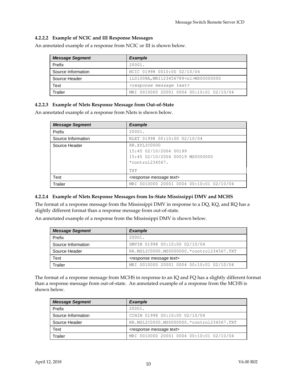#### **4.2.2.2 Example of NCIC and III Response Messages**

An annotated example of a response from NCIC or III is shown below.

| <b>Message Segment</b> | <b>Example</b>                             |
|------------------------|--------------------------------------------|
| Prefix                 | 20001.                                     |
| Source Information     | NCIC 01998 0010:00 02/10/04                |
| Source Header          | 1L01008A, MRI123456789 <nl>MS00000000</nl> |
| Text                   | <response message="" text=""></response>   |
| Trailer                | MRI 0010000 20001 0004 00:10:01 02/10/04   |

#### **4.2.2.3 Example of Nlets Response Message from Out-of-State**

An annotated example of a response from Nlets is shown below.

| <b>Message Segment</b> | <b>Example</b>                                                                                                 |
|------------------------|----------------------------------------------------------------------------------------------------------------|
| Prefix                 | 20001.                                                                                                         |
| Source Information     | NLET 01998 00:10:00 02/10/04                                                                                   |
| Source Header          | RR.XYLIC0000<br>15:45 02/10/2004 00199<br>15:45 02/10/2004 00019 MS0000000<br>$*$ control234567.<br><b>TXT</b> |
| Text                   | <response message="" text=""></response>                                                                       |
| Trailer                | MRI 0010000 20001 0004 00:10:01 02/10/04                                                                       |

#### **4.2.2.4 Example of Nlets Response Messages from In-State Mississippi DMV and MCHS**

The format of a response message from the Mississippi DMV in response to a DQ, KQ, and RQ has a slightly different format than a response message from out-of-state.

An annotated example of a response from the Mississippi DMV is shown below.

| <b>Message Segment</b> | <b>Example</b>                            |
|------------------------|-------------------------------------------|
| Prefix                 | 20001.                                    |
| Source Information     | DMVIN 01998 00:10:00 02/10/04             |
| Source Header          | RR.MSLIC0000.MS0000000.*control234567.TXT |
| Text                   | <response message="" text=""></response>  |
| Trailer                | MRI 0010000 20001 0004 00:10:01 02/10/04  |

The format of a response message from MCHS in response to an IQ and FQ has a slightly different format than a response message from out-of-state. An annotated example of a response from the MCHS is shown below.

| <b>Message Segment</b> | <b>Example</b>                            |
|------------------------|-------------------------------------------|
| Prefix                 | 20001.                                    |
| Source Information     | CCHIN 01998 00:10:00 02/10/04             |
| Source Header          | RR.MSLIC0000.MS0000000.*control234567.TXT |
| Text                   | <response message="" text=""></response>  |
| Trailer                | MRI 0010000 20001 0004 00:10:01 02/10/04  |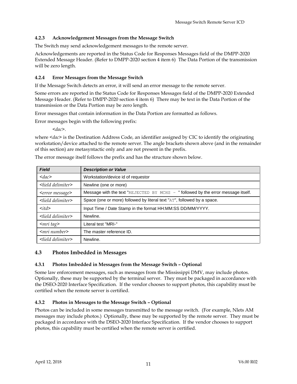#### **4.2.3 Acknowledgement Messages from the Message Switch**

The Switch may send acknowledgement messages to the remote server.

Acknowledgements are reported in the Status Code for Responses Messages field of the DMPP-2020 Extended Message Header. (Refer to DMPP-2020 section 4 item 6) The Data Portion of the transmission will be zero length.

#### **4.2.4 Error Messages from the Message Switch**

If the Message Switch detects an error, it will send an error message to the remote server.

Some errors are reported in the Status Code for Responses Messages field of the DMPP-2020 Extended Message Header. (Refer to DMPP-2020 section 4 item 6) There may be text in the Data Portion of the transmission or the Data Portion may be zero length.

Error messages that contain information in the Data Portion are formatted as follows.

Error messages begin with the following prefix:

*<dac>*.

where  $\langle dac \rangle$  is the Destination Address Code, an identifier assigned by CIC to identify the originating workstation/device attached to the remote server. The angle brackets shown above (and in the remainder of this section) are metasyntactic only and are not present in the prefix.

| <b>Field</b>                 | <b>Description or Value</b>                                                      |
|------------------------------|----------------------------------------------------------------------------------|
| $\langle dac \rangle$        | Workstation/device id of requestor                                               |
| $\le$ field delimiter $>$    | Newline (one or more)                                                            |
| <error message=""></error>   | Message with the text "REJECTED BY MCHS - "followed by the error message itself. |
| <field delimiter=""></field> | Space (one or more) followed by literal text "AT", followed by a space.          |
| $\langle \text{itd} \rangle$ | Input Time / Date Stamp in the format HH:MM:SS DD/MM/YYYY.                       |
| $\le$ field delimiter $>$    | Newline.                                                                         |
| $\epsilon$ mri tag $>$       | Literal test "MRI-"                                                              |
| $\leq mri$ number>           | The master reference ID.                                                         |
| <field delimiter=""></field> | Newline.                                                                         |

The error message itself follows the prefix and has the structure shown below.

#### **4.3 Photos Imbedded in Messages**

#### **4.3.1 Photos Imbedded in Messages from the Message Switch – Optional**

Some law enforcement messages, such as messages from the Mississippi DMV, may include photos. Optionally, these may be supported by the terminal server. They must be packaged in accordance with the DSEO-2020 Interface Specification. If the vendor chooses to support photos, this capability must be certified when the remote server is certified.

#### **4.3.2 Photos in Messages to the Message Switch – Optional**

Photos can be included in some messages transmitted to the message switch. (For example, Nlets AM messages may include photos.) Optionally, these may be supported by the remote server. They must be packaged in accordance with the DSEO-2020 Interface Specification. If the vendor chooses to support photos, this capability must be certified when the remote server is certified.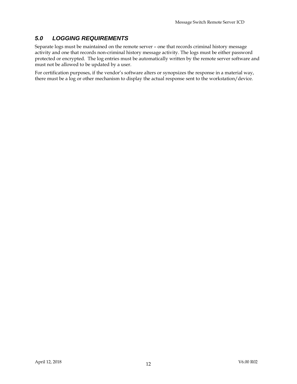# *5.0 LOGGING REQUIREMENTS*

Separate logs must be maintained on the remote server – one that records criminal history message activity and one that records non-criminal history message activity. The logs must be either password protected or encrypted. The log entries must be automatically written by the remote server software and must not be allowed to be updated by a user.

For certification purposes, if the vendor's software alters or synopsizes the response in a material way, there must be a log or other mechanism to display the actual response sent to the workstation/device.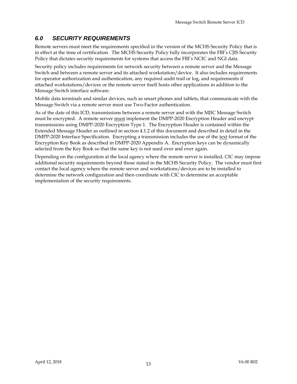# *6.0 SECURITY REQUIREMENTS*

Remote servers must meet the requirements specified in the version of the MCHS Security Policy that is in effect at the time of certification. The MCHS Security Policy fully incorporates the FBI's CJIS Security Policy that dictates security requirements for systems that access the FBI's NCIC and NGI data.

Security policy includes requirements for network security between a remote server and the Message Switch and between a remote server and its attached workstation/device. It also includes requirements for operator authorization and authentication, any required audit trail or log, and requirements if attached workstations/devices or the remote server itself hosts other applications in addition to the Message Switch interface software.

Mobile data terminals and similar devices, such as smart phones and tablets, that communicate with the Message Switch via a remote server must use Two-Factor authentication.

As of the date of this ICD, transmissions between a remote server and with the MJIC Message Switch must be encrypted. A remote server must implement the DMPP-2020 Encryption Header and encrypt transmissions using DMPP-2020 Encryption Type 1. The Encryption Header is contained within the Extended Message Header as outlined in section 4.1.2 of this document and described in detail in the DMPP-2020 Interface Specification. Encrypting a transmission includes the use of the text format of the Encryption Key Book as described in DMPP-2020 Appendix A. Encryption keys can be dynamically selected from the Key Book so that the same key is not used over and over again.

Depending on the configuration at the local agency where the remote server is installed, CIC may impose additional security requirements beyond those stated in the MCHS Security Policy. The vendor must first contact the local agency where the remote server and workstations/devices are to be installed to determine the network configuration and then coordinate with CIC to determine an acceptable implementation of the security requirements.